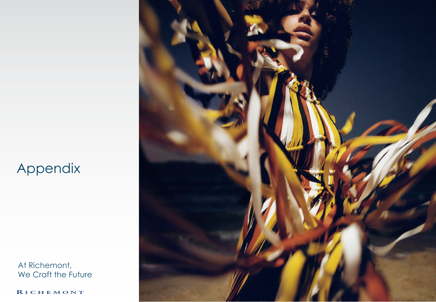### Appendix

At Richemont, We Craft the Future

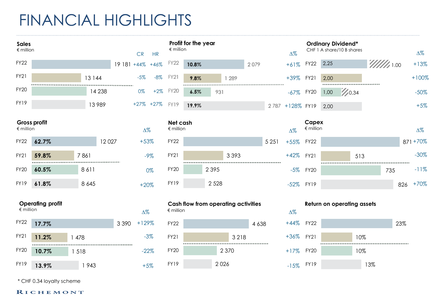### FINANCIAL HIGHLIGHTS

+5%

FY19

| <b>Sales</b><br>$\notin$ million |                         |      |         |             | <b>CR</b>  | <b>HR</b>     | $∈$ million                    | Profit for the year |         |                                            |         |         | $\Delta\%$      |                           |      | <b>Ordinary Dividend*</b><br>CHF 1 A share/10 B shares  |     |                                |     | $\Delta\%$ |
|----------------------------------|-------------------------|------|---------|-------------|------------|---------------|--------------------------------|---------------------|---------|--------------------------------------------|---------|---------|-----------------|---------------------------|------|---------------------------------------------------------|-----|--------------------------------|-----|------------|
| <b>FY22</b>                      |                         |      |         | 19 181 +44% |            | $+46%$        | FY22                           | 10.8%               |         |                                            | 2079    |         | $+61%$          | <b>FY22</b>               | 2,25 |                                                         |     | $\mathscr{U}/\mathscr{U}$ 1.00 |     | $+13%$     |
| <b>FY21</b>                      |                         |      | 13 144  |             | $-5%$      | $-8%$         | FY21                           | 9.8%                |         | 1 289                                      |         |         | $+39%$          | <b>FY21</b>               | 2,00 |                                                         |     |                                |     | $+100%$    |
| <b>FY20</b>                      |                         |      | 14 2 38 | .           | 0%         | $+2%$         | FY20                           | 6.5%                | 931     |                                            |         |         | $-67%$          | <b>FY20</b>               | 1,00 | ----------------------------------<br>$\frac{7}{10.34}$ |     |                                |     | $-50%$     |
| <b>FY19</b>                      |                         |      | 13989   |             |            | $+27\% +27\%$ | FY19                           | 19.9%               |         |                                            |         |         | 2787 +128% FY19 |                           | 2,00 |                                                         |     |                                |     | $+5%$      |
| $\notin$ million                 | Gross profit            |      |         |             | $\Delta\%$ |               | Net cash<br>$\epsilon$ million |                     |         |                                            |         |         | $\Delta\%$      | Capex<br>$\notin$ million |      |                                                         |     |                                |     | $\Delta\%$ |
| <b>FY22</b>                      | 62.7%                   |      | 12 0 27 |             | $+53%$     |               | <b>FY22</b>                    |                     |         |                                            |         | 5 2 5 1 | $+55%$          | <b>FY22</b>               |      |                                                         |     |                                |     | 871+70%    |
| <b>FY21</b>                      | 59.8%                   | 7861 |         |             |            | $-9\%$        | <b>FY21</b>                    |                     |         | 3 3 9 3                                    |         |         | $+42%$          | FY21                      |      | 513                                                     |     |                                |     | $-30\%$    |
| <b>FY20</b>                      | 60.5%                   |      | 8611    |             |            | 0%            | <b>FY20</b>                    |                     | 2 3 9 5 |                                            |         |         | $-5%$           | <b>FY20</b>               |      |                                                         |     | <br>735                        |     | $-11%$     |
| <b>FY19</b>                      | 61.8%                   |      | 8 6 4 5 |             | $+20%$     |               | <b>FY19</b>                    |                     | 2 5 2 8 |                                            |         |         | $-52%$          | FY19                      |      |                                                         |     |                                | 826 | $+70%$     |
| $\notin$ million                 | <b>Operating profit</b> |      |         |             | $\Delta\%$ |               | $\notin$ million               |                     |         | <b>Cash flow from operating activities</b> |         |         | $\Delta\%$      |                           |      | Return on operating assets                              |     |                                |     |            |
| <b>FY22</b>                      | 17.7%                   |      |         | 3 3 9 0     | $+129%$    |               | <b>FY22</b>                    |                     |         |                                            | 4 6 3 8 |         | $+44%$          | <b>FY22</b>               |      |                                                         |     |                                | 23% |            |
| <b>FY21</b>                      | 11.2%                   | 478  |         |             |            | $-3%$         | <b>FY21</b>                    |                     |         | 3 2 1 8                                    |         |         | $+36%$          | <b>FY21</b>               |      |                                                         | 10% |                                |     |            |
| <b>FY20</b>                      | 10.7%                   | 1518 |         |             |            | $-22%$        | <b>FY20</b>                    |                     |         | 2 3 7 0                                    |         |         | $+17%$          | <b>FY20</b>               |      |                                                         | 10% |                                |     |            |

2 026

-15% FY19

13%

\* CHF 0.34 loyalty scheme

**13.9%**

FY19

1 943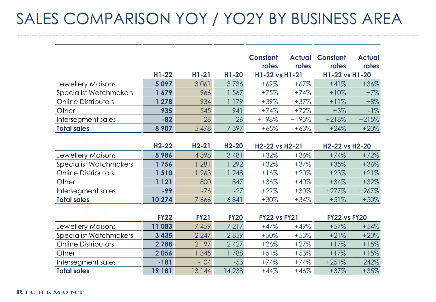## SALES COMPARISON YOY / YO2Y BY BUSINESS AREA

|                               |         |         |         | <b>Constant</b><br>rates | <b>Actual</b><br>rates | <b>Constant</b><br>rates | <b>Actual</b><br>rates |
|-------------------------------|---------|---------|---------|--------------------------|------------------------|--------------------------|------------------------|
|                               | $H1-22$ | $H1-21$ | $H1-20$ | H1-22 vs H1-21           |                        | H1-22 vs H1-20           |                        |
| <b>Jewellery Maisons</b>      | 5097    | 3061    | 3736    | $+69%$                   | $+67\%$                | $+41%$                   | $+36%$                 |
| <b>Specialist Watchmakers</b> | 1679    | 966     | 567     | $+75%$                   | $+74%$                 | $+10%$                   | $+7%$                  |
| <b>Online Distributors</b>    | 278     | 934     | 179     | $+39%$                   | $+37%$                 | $+11%$                   | $+8%$                  |
| Other                         | 935     | 545     | 941     | $+74%$                   | $+72%$                 | $+3%$                    | $-1%$                  |
| Intersegment sales            | $-82$   | $-28$   | $-26$   | $+198%$                  | $+193%$                | $+218%$                  | $+215%$                |
| <b>Total sales</b>            | 8 9 0 7 | 5 4 7 8 | 7397    | $+65%$                   | $+63%$                 | $+24%$                   | $+20%$                 |

|                               | $H2-22$ | $H2-21$ | $H2-20$ | H2-22 vs H2-21 |         | H2-22 vs H2-20 |         |
|-------------------------------|---------|---------|---------|----------------|---------|----------------|---------|
| <b>Jewellery Maisons</b>      | 5986    | 4 3 9 8 | 3 4 8 1 | $+32%$         | $+36\%$ | $+74%$         | $+72%$  |
| <b>Specialist Watchmakers</b> | 756     | 281     | 292     | $+32%$         | $+37\%$ | $+35%$         | $+36%$  |
| <b>Online Distributors</b>    | 1510    | 263     | 248     | $+16%$         | $+20\%$ | $+23%$         | $+21%$  |
| Other                         | 121     | 800     | 847     | $+36%$         | $+40\%$ | $+34%$         | $+32%$  |
| Intersegment sales            | $-99$   | $-76$   | $-27$   | $+29%$         | $+30\%$ | $+277%$        | $+267%$ |
| <b>Total sales</b>            | 10 274  | 7 666   | 6841    | $+30\%$        | $+34%$  | $+51%$         | $+50%$  |

|                               | <b>FY22</b> | <b>FY21</b> | <b>FY20</b> | <b>FY22 vs FY21</b> |        | <b>FY22 vs FY20</b> |         |
|-------------------------------|-------------|-------------|-------------|---------------------|--------|---------------------|---------|
| Jewellery Maisons             | 1083        | 7459        | 7217        | $+47%$              | $+49%$ | $+57%$              | $+54%$  |
| <b>Specialist Watchmakers</b> | 3 4 3 5     | 2 2 4 7     | 2859        | $+50\%$             | $+53%$ | $+21%$              | $+20%$  |
| <b>Online Distributors</b>    | 2 7 8 8     | 2 1 9 7     | 2 4 2 7     | $+26%$              | $+27%$ | $+17%$              | $+15%$  |
| Other                         | 2056        | 345         | 788         | $+51%$              | $+53%$ | $+17%$              | $+15%$  |
| Intersegment sales            | $-181$      | $-104$      | $-53$       | $+74%$              | $+74%$ | $+251%$             | $+242%$ |
| <b>Total sales</b>            | 19 181      | 13 144      | 14 238      | $+44%$              | $+46%$ | $+37%$              | $+35%$  |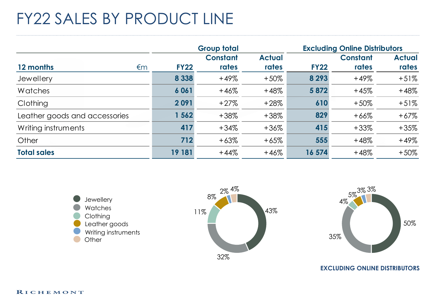## FY22 SALES BY PRODUCT LINE

|                               |             | <b>Group total</b>       |                        |             | <b>Excluding Online Distributors</b> |                        |  |  |
|-------------------------------|-------------|--------------------------|------------------------|-------------|--------------------------------------|------------------------|--|--|
| 12 months<br>€m               | <b>FY22</b> | <b>Constant</b><br>rates | <b>Actual</b><br>rates | <b>FY22</b> | <b>Constant</b><br>rates             | <b>Actual</b><br>rates |  |  |
| Jewellery                     | 8 3 3 8     | $+49%$                   | $+50\%$                | 8 2 9 3     | $+49%$                               | $+51%$                 |  |  |
| Watches                       | 6061        | $+46%$                   | $+48%$                 | 5 8 7 2     | $+45%$                               | $+48%$                 |  |  |
| Clothing                      | 2091        | $+27%$                   | $+28%$                 | 610         | $+50%$                               | $+51%$                 |  |  |
| Leather goods and accessories | 1 562       | $+38%$                   | $+38%$                 | 829         | $+66%$                               | $+67%$                 |  |  |
| Writing instruments           | 417         | $+34%$                   | $+36%$                 | 415         | $+33%$                               | $+35%$                 |  |  |
| Other                         | 712         | $+63%$                   | $+65%$                 | 555         | $+48%$                               | $+49%$                 |  |  |
| <b>Total sales</b>            | 19 181      | $+44%$                   | $+46%$                 | 16 574      | $+48%$                               | $+50%$                 |  |  |







**EXCLUDING ONLINE DISTRIBUTORS**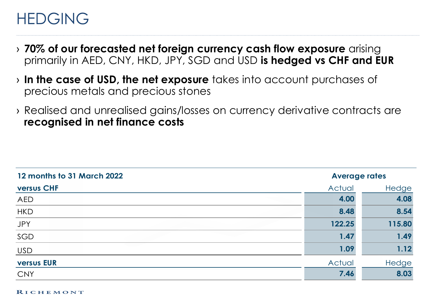### HEDGING

- › **70% of our forecasted net foreign currency cash flow exposure** arising primarily in AED, CNY, HKD, JPY, SGD and USD **is hedged vs CHF and EUR**
- › **In the case of USD, the net exposure** takes into account purchases of precious metals and precious stones
- › Realised and unrealised gains/losses on currency derivative contracts are **recognised in net finance costs**

| 12 months to 31 March 2022 | <b>Average rates</b> |        |  |
|----------------------------|----------------------|--------|--|
| <b>versus CHF</b>          | Actual               | Hedge  |  |
| <b>AED</b>                 | 4.00                 | 4.08   |  |
| <b>HKD</b>                 | 8.48                 | 8.54   |  |
| JPY                        | 122.25               | 115.80 |  |
| SGD                        | 1.47                 | 1.49   |  |
| <b>USD</b>                 | 1.09                 | 1.12   |  |
| <b>versus EUR</b>          | Actual               | Hedge  |  |
| <b>CNY</b>                 | 7.46                 | 8.03   |  |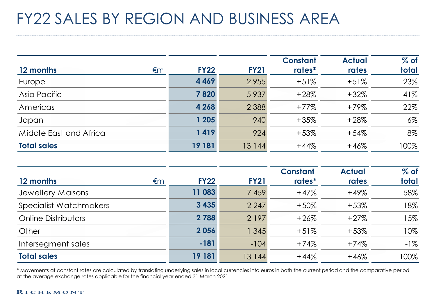### FY22 SALES BY REGION AND BUSINESS AREA

| 12 months<br>€m        | <b>FY22</b> | <b>FY21</b> | <b>Constant</b><br>rates* | <b>Actual</b><br>rates | $%$ of<br>total |
|------------------------|-------------|-------------|---------------------------|------------------------|-----------------|
| Europe                 | 4 4 6 9     | 2955        | $+51%$                    | $+51%$                 | 23%             |
| Asia Pacific           | 7820        | 5 9 3 7     | $+28%$                    | $+32%$                 | 41%             |
| Americas               | 4 2 6 8     | 2 3 8 8     | $+77%$                    | $+79%$                 | 22%             |
| Japan                  | 1 205       | 940         | $+35%$                    | $+28%$                 | $6\%$           |
| Middle East and Africa | 1419        | 924         | $+53%$                    | $+54%$                 | 8%              |
| <b>Total sales</b>     | 19 181      | 13 144      | $+44%$                    | $+46%$                 | 100%            |

| 12 months<br>€m            | <b>FY22</b> | <b>FY21</b> | <b>Constant</b><br>rates* | <b>Actual</b><br>rates | $%$ of<br>total |
|----------------------------|-------------|-------------|---------------------------|------------------------|-----------------|
| Jewellery Maisons          | 11 083      | 7 4 5 9     | $+47%$                    | $+49%$                 | 58%             |
| Specialist Watchmakers     | 3 4 3 5     | 2 2 4 7     | $+50%$                    | $+53%$                 | 18%             |
| <b>Online Distributors</b> | 2 7 8 8     | 2 1 9 7     | $+26%$                    | $+27%$                 | 15%             |
| Other                      | 2056        | 1 3 4 5     | $+51%$                    | $+53%$                 | 10%             |
| Intersegment sales         | $-181$      | $-104$      | $+74%$                    | $+74%$                 | $-1\%$          |
| <b>Total sales</b>         | 19 181      | 13 144      | $+44%$                    | $+46%$                 | 100%            |

\* Movements at constant rates are calculated by translating underlying sales in local currencies into euros in both the current period and the comparative period at the average exchange rates applicable for the financial year ended 31 March 2021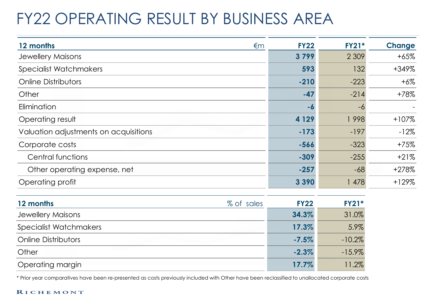# FY22 OPERATING RESULT BY BUSINESS AREA

| 12 months<br>$\epsilon$ m             | <b>FY22</b>   | <b>FY21*</b> | <b>Change</b> |
|---------------------------------------|---------------|--------------|---------------|
| <b>Jewellery Maisons</b>              | 3799          | 2 3 0 9      | $+65%$        |
| <b>Specialist Watchmakers</b>         | 593           | 132          | +349%         |
| <b>Online Distributors</b>            | $-210$        | $-223$       | $+6\%$        |
| Other                                 | $-47$         | $-214$       | $+78%$        |
| Elimination                           | -6            | -6           |               |
| Operating result                      | 4 1 2 9       | 1998         | $+107%$       |
| Valuation adjustments on acquisitions | $-173$        | $-197$       | $-12%$        |
| Corporate costs                       | $-566$        | $-323$       | $+75%$        |
| Central functions                     | $-309$        | $-255$       | $+21%$        |
| Other operating expense, net          | $-257$        | $-68$        | $+278%$       |
| Operating profit                      | 3 3 9 0       | 1478         | $+129%$       |
| 12 months<br>% of sales               | <b>FY22</b>   | <b>FY21*</b> |               |
| مصصد أنجلنا بسجالهن بجل               | <b>24.207</b> | 21.07        |               |

| <b>Jewellery Maisons</b>   | 34.3%    | 31.0%     |
|----------------------------|----------|-----------|
| Specialist Watchmakers     | 17.3%    | 5.9%      |
| <b>Online Distributors</b> | $-7.5%$  | $-10.2\%$ |
| Other                      | $-2.3\%$ | $-15.9\%$ |
| <b>Operating margin</b>    | 17.7%    | 11.2%     |

\* Prior year comparatives have been re-presented as costs previously included with Other have been reclassified to unallocated corporate costs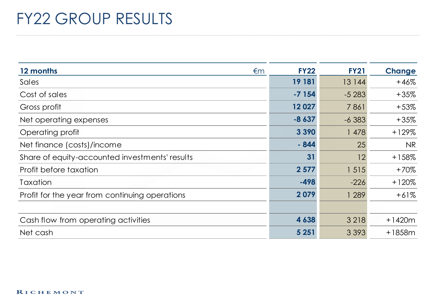### FY22 GROUP RESULTS

| 12 months<br>€m                                | <b>FY22</b> | <b>FY21</b> | <b>Change</b> |
|------------------------------------------------|-------------|-------------|---------------|
| Sales                                          | 19 181      | 13 144      | $+46%$        |
| Cost of sales                                  | $-7154$     | $-5283$     | $+35%$        |
| Gross profit                                   | 12027       | 7861        | $+53%$        |
| Net operating expenses                         | $-8637$     | $-6383$     | $+35%$        |
| Operating profit                               | 3 3 9 0     | 1 478       | $+129%$       |
| Net finance (costs)/income                     | $-844$      | 25          | <b>NR</b>     |
| Share of equity-accounted investments' results | 31          | 12          | $+158%$       |
| Profit before taxation                         | 2 5 7 7     | 1 515       | $+70%$        |
| Taxation                                       | $-498$      | $-226$      | $+120%$       |
| Profit for the year from continuing operations | 2079        | 1 289       | $+61%$        |
|                                                |             |             |               |
| Cash flow from operating activities            | 4 6 38      | 3 2 1 8     | $+1420m$      |
| Net cash                                       | 5 2 5 1     | 3 3 9 3     | $+1858m$      |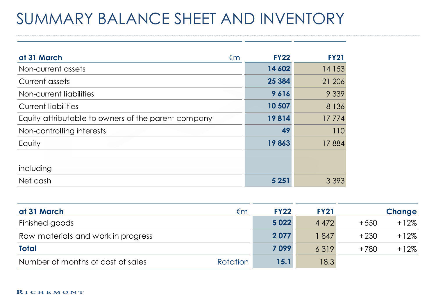### SUMMARY BALANCE SHEET AND INVENTORY

| at 31 March<br>$\epsilon$ m                         | <b>FY22</b> | <b>FY21</b> |
|-----------------------------------------------------|-------------|-------------|
| Non-current assets                                  | 14 602      | 14 153      |
| Current assets                                      | 25 3 84     | 21 20 6     |
| Non-current liabilities                             | 9616        | 9 3 3 9     |
| <b>Current liabilities</b>                          | 10 507      | 8 1 3 6     |
| Equity attributable to owners of the parent company | 19814       | 17774       |
| Non-controlling interests                           | 49          | 110         |
| Equity                                              | 19863       | 17884       |
|                                                     |             |             |
| including                                           |             |             |
| Net cash                                            | 5 2 5 1     | 3 3 9 3     |

| at 31 March                        | €m              | <b>FY22</b> | <b>FY21</b> |        | Change  |
|------------------------------------|-----------------|-------------|-------------|--------|---------|
| Finished goods                     |                 | 5 0 2 2     | 4 4 7 2     | $+550$ | $+12%$  |
| Raw materials and work in progress |                 | 2 0 7 7     | 847         | $+230$ | $+12\%$ |
| <b>Total</b>                       |                 | 7099        | 6319        | $+780$ | $+12%$  |
| Number of months of cost of sales  | <b>Rotation</b> | 15.1        | 18.3        |        |         |